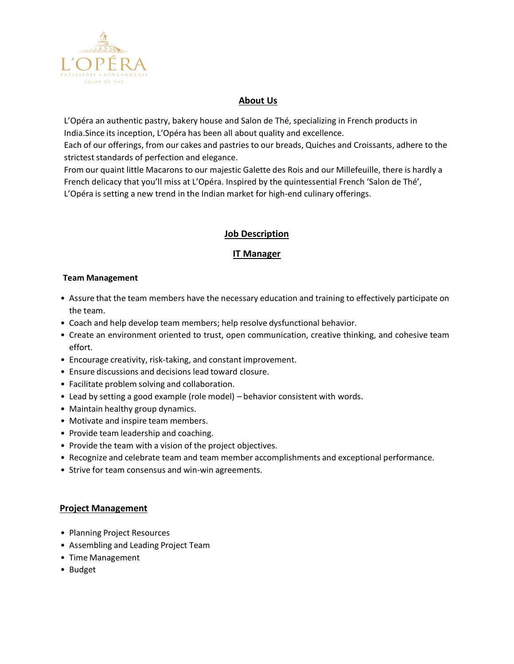

# **About Us**

L'Opéra an authentic pastry, bakery house and Salon de Thé, specializing in French products in India.Since its inception, L'Opéra has been all about quality and excellence.

Each of our offerings, from our cakes and pastries to our breads, Quiches and Croissants, adhere to the strictest standards of perfection and elegance.

From our quaint little Macarons to our majestic Galette des Rois and our Millefeuille, there is hardly a French delicacy that you'll miss at L'Opéra. Inspired by the quintessential French 'Salon de Thé', L'Opéra is setting a new trend in the Indian market for high-end culinary offerings.

# **Job Description**

# **IT Manager**

### **Team Management**

- Assure that the team members have the necessary education and training to effectively participate on the team.
- Coach and help develop team members; help resolve dysfunctional behavior.
- Create an environment oriented to trust, open communication, creative thinking, and cohesive team effort.
- Encourage creativity, risk-taking, and constant improvement.
- Ensure discussions and decisions lead toward closure.
- Facilitate problem solving and collaboration.
- Lead by setting a good example (role model) behavior consistent with words.
- Maintain healthy group dynamics.
- Motivate and inspire team members.
- Provide team leadership and coaching.
- Provide the team with a vision of the project objectives.
- Recognize and celebrate team and team member accomplishments and exceptional performance.
- Strive for team consensus and win-win agreements.

### **Project Management**

- Planning Project Resources
- Assembling and Leading Project Team
- Time Management
- Budget